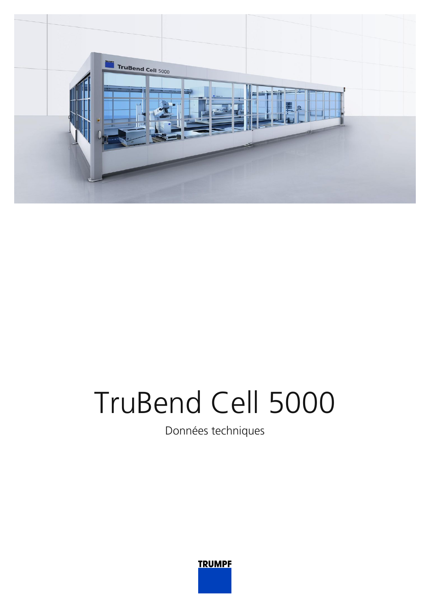

# TruBend Cell 5000

Données techniques

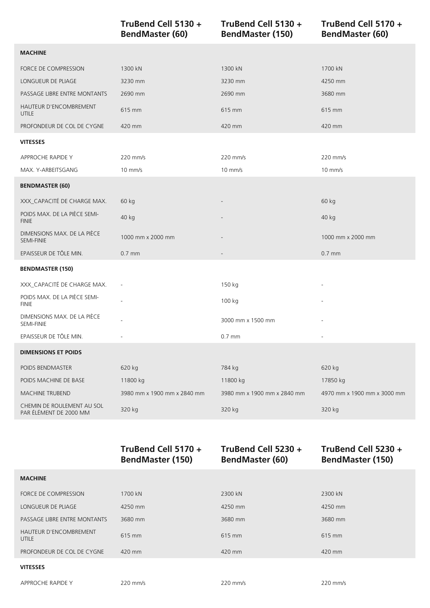|                                                      | TruBend Cell 5130 +<br><b>BendMaster (60)</b> | TruBend Cell 5130 +<br><b>BendMaster (150)</b> | TruBend Cell 5170 +<br><b>BendMaster (60)</b> |
|------------------------------------------------------|-----------------------------------------------|------------------------------------------------|-----------------------------------------------|
| <b>MACHINE</b>                                       |                                               |                                                |                                               |
| FORCE DE COMPRESSION                                 | 1300 kN                                       | 1300 kN                                        | 1700 kN                                       |
| LONGUEUR DE PLIAGE                                   | 3230 mm                                       | 3230 mm                                        | 4250 mm                                       |
| PASSAGE LIBRE ENTRE MONTANTS                         | 2690 mm                                       | 2690 mm                                        | 3680 mm                                       |
| HAUTEUR D'ENCOMBREMENT<br><b>UTILE</b>               | 615 mm                                        | 615 mm                                         | 615 mm                                        |
| PROFONDEUR DE COL DE CYGNE                           | 420 mm                                        | 420 mm                                         | 420 mm                                        |
| <b>VITESSES</b>                                      |                                               |                                                |                                               |
| APPROCHE RAPIDE Y                                    | 220 mm/s                                      | 220 mm/s                                       | 220 mm/s                                      |
| MAX. Y-ARBEITSGANG                                   | $10$ mm/s                                     | $10$ mm/s                                      | $10$ mm/s                                     |
| <b>BENDMASTER (60)</b>                               |                                               |                                                |                                               |
| XXX_CAPACITÉ DE CHARGE MAX.                          | 60 kg                                         |                                                | 60 kg                                         |
| POIDS MAX. DE LA PIÈCE SEMI-<br><b>FINIE</b>         | 40 kg                                         |                                                | 40 kg                                         |
| DIMENSIONS MAX. DE LA PIÈCE<br><b>SEMI-FINIE</b>     | 1000 mm x 2000 mm                             |                                                | 1000 mm x 2000 mm                             |
| EPAISSEUR DE TÔLE MIN.                               | $0.7$ mm                                      |                                                | $0.7$ mm                                      |
| <b>BENDMASTER (150)</b>                              |                                               |                                                |                                               |
| XXX_CAPACITÉ DE CHARGE MAX.                          |                                               | 150 kg                                         |                                               |
| POIDS MAX. DE LA PIÈCE SEMI-<br><b>FINIE</b>         |                                               | 100 kg                                         |                                               |
| DIMENSIONS MAX. DE LA PIÈCE<br>SEMI-FINIE            |                                               | 3000 mm x 1500 mm                              |                                               |
| EPAISSEUR DE TÔLE MIN.                               |                                               | $0.7$ mm                                       |                                               |
| <b>DIMENSIONS ET POIDS</b>                           |                                               |                                                |                                               |
| POIDS BENDMASTER                                     | 620 kg                                        | 784 kg                                         | 620 kg                                        |
| POIDS MACHINE DE BASE                                | 11800 kg                                      | 11800 kg                                       | 17850 kg                                      |
| <b>MACHINE TRUBEND</b>                               | 3980 mm x 1900 mm x 2840 mm                   | 3980 mm x 1900 mm x 2840 mm                    | 4970 mm x 1900 mm x 3000 mm                   |
| CHEMIN DE ROULEMENT AU SOL<br>PAR ÉLÉMENT DE 2000 MM | 320 kg                                        | 320 kg                                         | 320 kg                                        |
|                                                      |                                               |                                                |                                               |

|                                 | TruBend Cell 5170 +<br><b>BendMaster (150)</b> | TruBend Cell 5230 +<br><b>BendMaster (60)</b> | TruBend Cell 5230 +<br><b>BendMaster (150)</b> |
|---------------------------------|------------------------------------------------|-----------------------------------------------|------------------------------------------------|
| <b>MACHINE</b>                  |                                                |                                               |                                                |
| FORCE DE COMPRESSION            | 1700 kN                                        | 2300 kN                                       | 2300 kN                                        |
| <b>LONGUEUR DE PLIAGE</b>       | 4250 mm                                        | 4250 mm                                       | 4250 mm                                        |
| PASSAGE LIBRE ENTRE MONTANTS    | 3680 mm                                        | 3680 mm                                       | 3680 mm                                        |
| HAUTEUR D'ENCOMBREMENT<br>UTILE | 615 mm                                         | 615 mm                                        | 615 mm                                         |
| PROFONDEUR DE COL DE CYGNE      | $420$ mm                                       | $420$ mm                                      | $420$ mm                                       |
| <b>VITESSES</b>                 |                                                |                                               |                                                |

APPROCHE RAPIDE Y 220 mm/s 220 mm/s 220 mm/s 220 mm/s 220 mm/s 220 mm/s 220 mm/s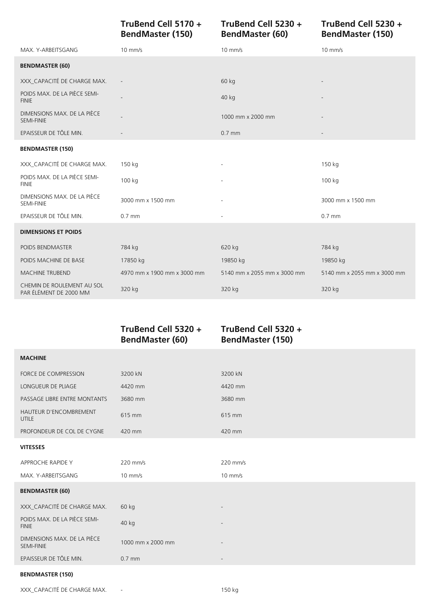**TruBend Cell 5170 + BendMaster (150)**

### **TruBend Cell 5230 + BendMaster (60)**

**TruBend Cell 5230 + BendMaster (150)**

| MAX. Y-ARBEITSGANG                                   | $10$ mm/s                   | $10$ mm/s                   | $10$ mm/s                   |
|------------------------------------------------------|-----------------------------|-----------------------------|-----------------------------|
| <b>BENDMASTER (60)</b>                               |                             |                             |                             |
| XXX_CAPACITÉ DE CHARGE MAX.                          |                             | 60 kg                       |                             |
| POIDS MAX. DE LA PIÈCE SEMI-<br><b>FINIE</b>         |                             | 40 kg                       |                             |
| DIMENSIONS MAX. DE LA PIÈCE<br><b>SEMI-FINIE</b>     |                             | 1000 mm x 2000 mm           |                             |
| EPAISSEUR DE TÔLE MIN.                               |                             | $0.7$ mm                    |                             |
| <b>BENDMASTER (150)</b>                              |                             |                             |                             |
| XXX_CAPACITÉ DE CHARGE MAX.                          | 150 kg                      | $\overline{\phantom{a}}$    | 150 kg                      |
| POIDS MAX. DE LA PIÈCE SEMI-<br><b>FINIE</b>         | 100 kg                      | $\overline{\phantom{a}}$    | 100 kg                      |
| DIMENSIONS MAX. DE LA PIÈCE<br>SEMI-FINIE            | 3000 mm x 1500 mm           |                             | 3000 mm x 1500 mm           |
| EPAISSEUR DE TÔLE MIN.                               | $0.7$ mm                    |                             | $0.7$ mm                    |
| <b>DIMENSIONS ET POIDS</b>                           |                             |                             |                             |
| POIDS BENDMASTER                                     | 784 kg                      | 620 kg                      | 784 kg                      |
| POIDS MACHINE DE BASE                                | 17850 kg                    | 19850 kg                    | 19850 kg                    |
| <b>MACHINE TRUBEND</b>                               | 4970 mm x 1900 mm x 3000 mm | 5140 mm x 2055 mm x 3000 mm | 5140 mm x 2055 mm x 3000 mm |
| CHEMIN DE ROULEMENT AU SOL<br>PAR ÉLÉMENT DE 2000 MM | 320 kg                      | 320 kg                      | 320 kg                      |

**TruBend Cell 5320 + BendMaster (60)**

# **TruBend Cell 5320 + BendMaster (150)**

| <b>MACHINE</b>                               |                   |                              |
|----------------------------------------------|-------------------|------------------------------|
| FORCE DE COMPRESSION                         | 3200 kN           | 3200 kN                      |
| LONGUEUR DE PLIAGE                           | 4420 mm           | 4420 mm                      |
| PASSAGE LIBRE ENTRE MONTANTS                 | 3680 mm           | 3680 mm                      |
| HAUTEUR D'ENCOMBREMENT<br><b>UTILE</b>       | 615 mm            | 615 mm                       |
| PROFONDEUR DE COL DE CYGNE                   | 420 mm            | 420 mm                       |
| <b>VITESSES</b>                              |                   |                              |
| APPROCHE RAPIDE Y                            | 220 mm/s          | 220 mm/s                     |
| MAX. Y-ARBEITSGANG                           | $10$ mm/s         | $10$ mm/s                    |
| <b>BENDMASTER (60)</b>                       |                   |                              |
| XXX_CAPACITÉ DE CHARGE MAX.                  | $60$ kg           |                              |
| POIDS MAX. DE LA PIÈCE SEMI-<br><b>FINIE</b> | 40 kg             | $\overline{\phantom{a}}$     |
| DIMENSIONS MAX. DE LA PIÈCE<br>SEMI-FINIE    | 1000 mm x 2000 mm | $\qquad \qquad \blacksquare$ |
| EPAISSEUR DE TÔLE MIN.                       | $0.7$ mm          | $\overline{\phantom{a}}$     |
| <b>BELIBAAA GEED (AEA)</b>                   |                   |                              |

#### **BENDMASTER (150)**